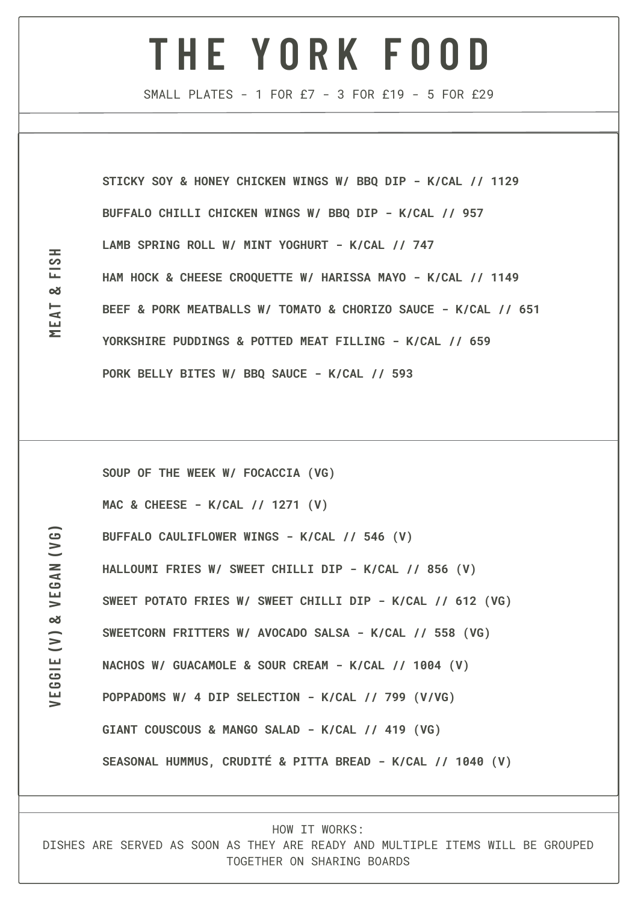## **T H E Y O R K F O O D**

SMALL PLATES - 1 FOR £7 - 3 FOR £19 - 5 FOR £29

**STICKY SOY & HONEY CHICKEN WINGS W/ BBQ DIP - K/CAL // 1129 BUFFALO CHILLI CHICKEN WINGS W/ BBQ DIP - K/CAL // 957 LAMB SPRING ROLL W/ MINT YOGHURT - K/CAL // 747 HAM HOCK & CHEESE CROQUETTE W/ HARISSA MAYO - K/CAL // 1149 BEEF & PORK MEATBALLS W/ TOMATO & CHORIZO SAUCE - K/CAL // 651 YORKSHIRE PUDDINGS & POTTED MEAT FILLING - K/CAL // 659 PORK BELLY BITES W/ BBQ SAUCE - K/CAL // 593**

**SOUP OF THE WEEK W/ [FOCACCIA](https://www.bbc.co.uk/food/focaccia) (VG) MAC & CHEESE - K/CAL // 1271 (V) BUFFALO CAULIFLOWER WINGS - K/CAL // 546 (V) HALLOUMI FRIES W/ SWEET CHILLI DIP - K/CAL // 856 (V) SWEET POTATO FRIES W/ SWEET CHILLI DIP - K/CAL // 612 (VG) SWEETCORN FRITTERS W/ AVOCADO SALSA - K/CAL // 558 (VG) NACHOS W/ GUACAMOLE & SOUR CREAM - K/CAL // 1004 (V) POPPADOMS W/ 4 DIP SELECTION - K/CAL // 799 (V/VG) GIANT COUSCOUS & MANGO SALAD - K/CAL // 419 (VG) SEASONAL HUMMUS, CRUDITÉ & PITTA BREAD - K/CAL // 1040 (V)**

HOW IT WORKS:

DISHES ARE SERVED AS SOON AS THEY ARE READY AND MULTIPLE ITEMS WILL BE GROUPED TOGETHER ON SHARING BOARDS

**VEG**

**G I E (V) &**

**VEGAN (V**

**G )**